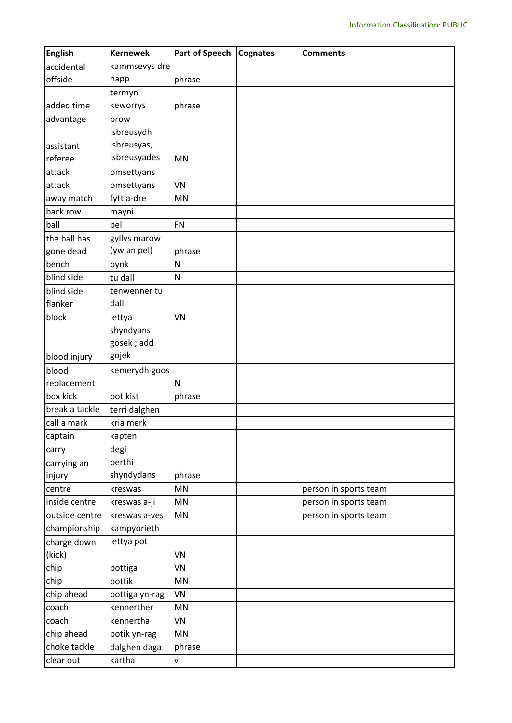| <b>English</b> | <b>Kernewek</b> | <b>Part of Speech</b> | Cognates | <b>Comments</b>       |
|----------------|-----------------|-----------------------|----------|-----------------------|
| accidental     | kammsevys dre   |                       |          |                       |
| offside        | happ            | phrase                |          |                       |
|                | termyn          |                       |          |                       |
| added time     | keworrys        | phrase                |          |                       |
| advantage      | prow            |                       |          |                       |
|                | isbreusydh      |                       |          |                       |
| assistant      | isbreusyas,     |                       |          |                       |
| referee        | isbreusyades    | <b>MN</b>             |          |                       |
| attack         | omsettyans      |                       |          |                       |
| attack         | omsettyans      | VN                    |          |                       |
| away match     | fytt a-dre      | MN                    |          |                       |
| back row       | mayni           |                       |          |                       |
| ball           | pel             | <b>FN</b>             |          |                       |
| the ball has   | gyllys marow    |                       |          |                       |
| gone dead      | (yw an pel)     | phrase                |          |                       |
| bench          | bynk            | N                     |          |                       |
| blind side     | tu dall         | N                     |          |                       |
| blind side     | tenwenner tu    |                       |          |                       |
| flanker        | dall            |                       |          |                       |
| block          | lettya          | VN                    |          |                       |
|                | shyndyans       |                       |          |                       |
|                | gosek; add      |                       |          |                       |
| blood injury   | gojek           |                       |          |                       |
| blood          | kemerydh goos   |                       |          |                       |
| replacement    |                 | N                     |          |                       |
| box kick       | pot kist        | phrase                |          |                       |
| break a tackle | terri dalghen   |                       |          |                       |
| call a mark    | kria merk       |                       |          |                       |
| captain        | kapten          |                       |          |                       |
| carry          | degi            |                       |          |                       |
| carrying an    | perthi          |                       |          |                       |
| injury         | shyndydans      | phrase                |          |                       |
| centre         | kreswas         | MN                    |          | person in sports team |
| inside centre  | kreswas a-ji    | MN                    |          | person in sports team |
| outside centre | kreswas a-ves   | MN                    |          | person in sports team |
| championship   | kampyorieth     |                       |          |                       |
| charge down    | lettya pot      |                       |          |                       |
| (kick)         |                 | VN                    |          |                       |
| chip           | pottiga         | VN                    |          |                       |
| chip           | pottik          | MN                    |          |                       |
| chip ahead     | pottiga yn-rag  | VN                    |          |                       |
| coach          | kennerther      | MN                    |          |                       |
| coach          | kennertha       | VN                    |          |                       |
| chip ahead     | potik yn-rag    | MN                    |          |                       |
| choke tackle   | dalghen daga    |                       |          |                       |
|                |                 | phrase                |          |                       |
| clear out      | kartha          | V                     |          |                       |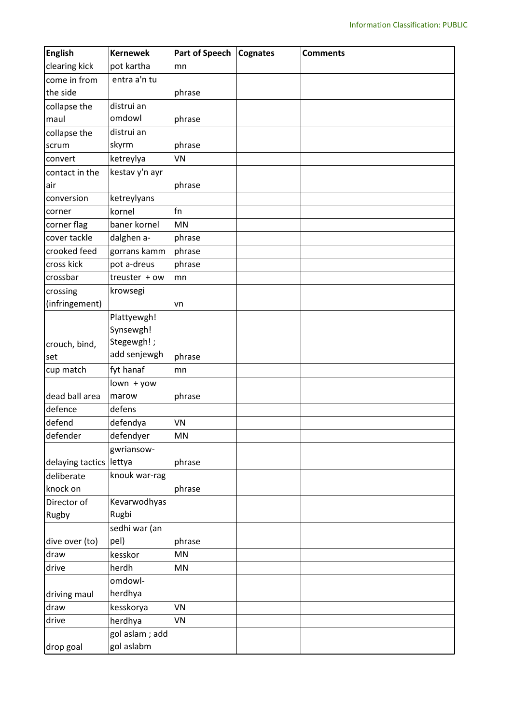| <b>English</b>          | <b>Kernewek</b> | <b>Part of Speech</b> | <b>Cognates</b> | <b>Comments</b> |
|-------------------------|-----------------|-----------------------|-----------------|-----------------|
| clearing kick           | pot kartha      | mn                    |                 |                 |
| come in from            | entra a'n tu    |                       |                 |                 |
| the side                |                 | phrase                |                 |                 |
| collapse the            | distrui an      |                       |                 |                 |
| maul                    | omdowl          | phrase                |                 |                 |
| collapse the            | distrui an      |                       |                 |                 |
| scrum                   | skyrm           | phrase                |                 |                 |
| convert                 | ketreylya       | VN                    |                 |                 |
| contact in the          | kestav y'n ayr  |                       |                 |                 |
| air                     |                 | phrase                |                 |                 |
| conversion              | ketreylyans     |                       |                 |                 |
| corner                  | kornel          | fn                    |                 |                 |
| corner flag             | baner kornel    | MN                    |                 |                 |
| cover tackle            | dalghen a-      | phrase                |                 |                 |
| crooked feed            | gorrans kamm    | phrase                |                 |                 |
| cross kick              | pot a-dreus     | phrase                |                 |                 |
| crossbar                | treuster + ow   | mn                    |                 |                 |
| crossing                | krowsegi        |                       |                 |                 |
| (infringement)          |                 | vn                    |                 |                 |
|                         | Plattyewgh!     |                       |                 |                 |
|                         | Synsewgh!       |                       |                 |                 |
| crouch, bind,           | Stegewgh!;      |                       |                 |                 |
| set                     | add senjewgh    | phrase                |                 |                 |
| cup match               | fyt hanaf       | mn                    |                 |                 |
|                         | $lown + yow$    |                       |                 |                 |
| dead ball area          | marow           | phrase                |                 |                 |
| defence                 | defens          |                       |                 |                 |
| defend                  | defendya        | VN                    |                 |                 |
| defender                | defendyer       | ΜN                    |                 |                 |
|                         | gwriansow-      |                       |                 |                 |
| delaying tactics lettya |                 | phrase                |                 |                 |
| deliberate              | knouk war-rag   |                       |                 |                 |
| knock on                |                 | phrase                |                 |                 |
| Director of             | Kevarwodhyas    |                       |                 |                 |
| Rugby                   | Rugbi           |                       |                 |                 |
|                         | sedhi war (an   |                       |                 |                 |
| dive over (to)          | pel)            | phrase                |                 |                 |
| draw                    | kesskor         | MN                    |                 |                 |
| drive                   | herdh           | MN                    |                 |                 |
|                         | omdowl-         |                       |                 |                 |
| driving maul            | herdhya         |                       |                 |                 |
| draw                    | kesskorya       | VN                    |                 |                 |
| drive                   | herdhya         | VN                    |                 |                 |
|                         | gol aslam; add  |                       |                 |                 |
| drop goal               | gol aslabm      |                       |                 |                 |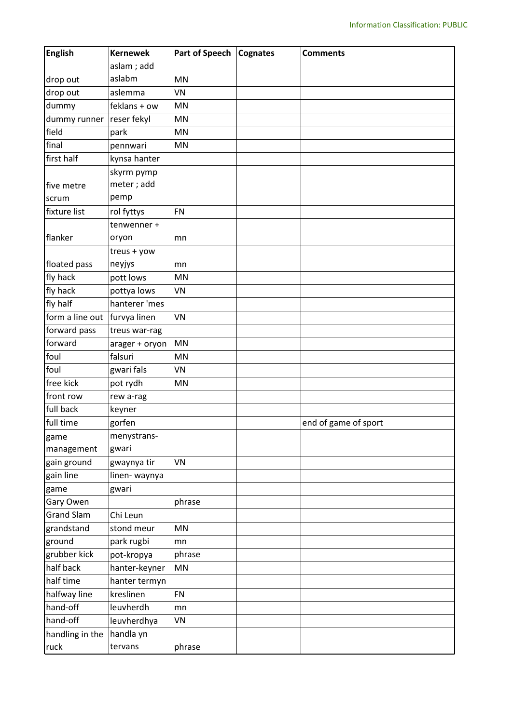| <b>English</b>    | <b>Kernewek</b> | <b>Part of Speech</b> | Cognates | <b>Comments</b>      |
|-------------------|-----------------|-----------------------|----------|----------------------|
|                   | aslam; add      |                       |          |                      |
| drop out          | aslabm          | MN                    |          |                      |
| drop out          | aslemma         | VN                    |          |                      |
| dummy             | feklans + ow    | MN                    |          |                      |
| dummy runner      | reser fekyl     | MN                    |          |                      |
| field             | park            | MN                    |          |                      |
| final             | pennwari        | MN                    |          |                      |
| first half        | kynsa hanter    |                       |          |                      |
|                   | skyrm pymp      |                       |          |                      |
| five metre        | meter; add      |                       |          |                      |
| scrum             | pemp            |                       |          |                      |
| fixture list      | rol fyttys      | <b>FN</b>             |          |                      |
|                   | tenwenner +     |                       |          |                      |
| flanker           | oryon           | mn                    |          |                      |
|                   | treus + yow     |                       |          |                      |
| floated pass      | neyjys          | mn                    |          |                      |
| fly hack          | pott lows       | MN                    |          |                      |
| fly hack          | pottya lows     | VN                    |          |                      |
| fly half          | hanterer 'mes   |                       |          |                      |
| form a line out   | furvya linen    | VN                    |          |                      |
| forward pass      | treus war-rag   |                       |          |                      |
| forward           | arager + oryon  | <b>MN</b>             |          |                      |
| foul              | falsuri         | MN                    |          |                      |
| foul              | gwari fals      | VN                    |          |                      |
| free kick         | pot rydh        | MN                    |          |                      |
| front row         | rew a-rag       |                       |          |                      |
| full back         | keyner          |                       |          |                      |
| full time         | gorfen          |                       |          | end of game of sport |
| game              | menystrans-     |                       |          |                      |
| management        | gwari           |                       |          |                      |
| gain ground       | gwaynya tir     | VN                    |          |                      |
| gain line         | linen-waynya    |                       |          |                      |
| game              | gwari           |                       |          |                      |
| Gary Owen         |                 | phrase                |          |                      |
| <b>Grand Slam</b> | Chi Leun        |                       |          |                      |
| grandstand        | stond meur      | <b>MN</b>             |          |                      |
| ground            | park rugbi      | mn                    |          |                      |
| grubber kick      | pot-kropya      | phrase                |          |                      |
| half back         | hanter-keyner   | <b>MN</b>             |          |                      |
| half time         | hanter termyn   |                       |          |                      |
| halfway line      | kreslinen       | <b>FN</b>             |          |                      |
| hand-off          | leuvherdh       | mn                    |          |                      |
| hand-off          | leuvherdhya     | VN                    |          |                      |
| handling in the   | handla yn       |                       |          |                      |
| ruck              | tervans         | phrase                |          |                      |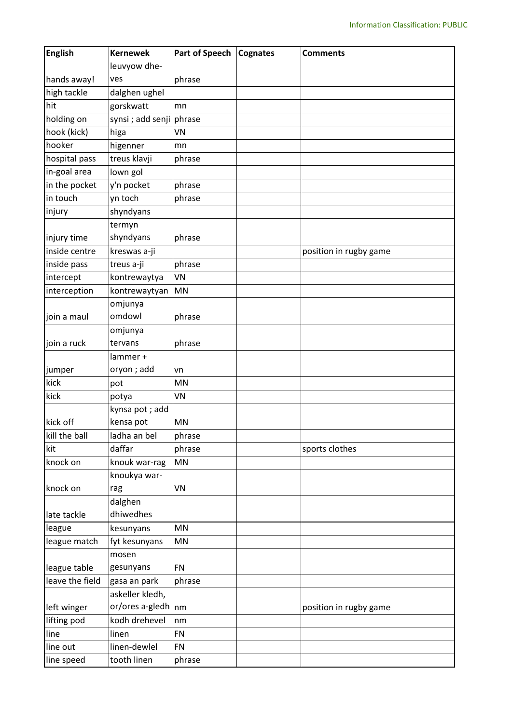| <b>English</b>  | <b>Kernewek</b>          | <b>Part of Speech</b> | Cognates | <b>Comments</b>        |
|-----------------|--------------------------|-----------------------|----------|------------------------|
|                 | leuvyow dhe-             |                       |          |                        |
| hands away!     | ves                      | phrase                |          |                        |
| high tackle     | dalghen ughel            |                       |          |                        |
| hit             | gorskwatt                | mn                    |          |                        |
| holding on      | synsi ; add senji phrase |                       |          |                        |
| hook (kick)     | higa                     | VN                    |          |                        |
| hooker          | higenner                 | mn                    |          |                        |
| hospital pass   | treus klavji             | phrase                |          |                        |
| in-goal area    | lown gol                 |                       |          |                        |
| in the pocket   | y'n pocket               | phrase                |          |                        |
| in touch        | yn toch                  | phrase                |          |                        |
| injury          | shyndyans                |                       |          |                        |
|                 | termyn                   |                       |          |                        |
| injury time     | shyndyans                | phrase                |          |                        |
| inside centre   | kreswas a-ji             |                       |          | position in rugby game |
| inside pass     | treus a-ji               | phrase                |          |                        |
| intercept       | kontrewaytya             | VN                    |          |                        |
| interception    | kontrewaytyan            | MN                    |          |                        |
|                 | omjunya                  |                       |          |                        |
| join a maul     | omdowl                   | phrase                |          |                        |
|                 | omjunya                  |                       |          |                        |
| join a ruck     | tervans                  | phrase                |          |                        |
|                 | lammer +                 |                       |          |                        |
| jumper          | oryon; add               | vn                    |          |                        |
| kick            | pot                      | MN                    |          |                        |
| kick            | potya                    | VN                    |          |                        |
|                 | kynsa pot; add           |                       |          |                        |
| kick off        | kensa pot                | MN                    |          |                        |
| kill the ball   | ladha an bel             | phrase                |          |                        |
| kit             | daffar                   | phrase                |          | sports clothes         |
| knock on        | knouk war-rag            | <b>MN</b>             |          |                        |
|                 | knoukya war-             |                       |          |                        |
| knock on        | rag                      | VN                    |          |                        |
|                 | dalghen                  |                       |          |                        |
| late tackle     | dhiwedhes                |                       |          |                        |
| league          | kesunyans                | MN                    |          |                        |
| league match    | fyt kesunyans            | MN                    |          |                        |
|                 | mosen                    |                       |          |                        |
| league table    | gesunyans                | <b>FN</b>             |          |                        |
| leave the field | gasa an park             | phrase                |          |                        |
|                 | askeller kledh,          |                       |          |                        |
| left winger     | or/ores a-gledh          | nm                    |          | position in rugby game |
| lifting pod     | kodh drehevel            | nm                    |          |                        |
| line            | linen                    | <b>FN</b>             |          |                        |
| line out        | linen-dewlel             | <b>FN</b>             |          |                        |
| line speed      | tooth linen              | phrase                |          |                        |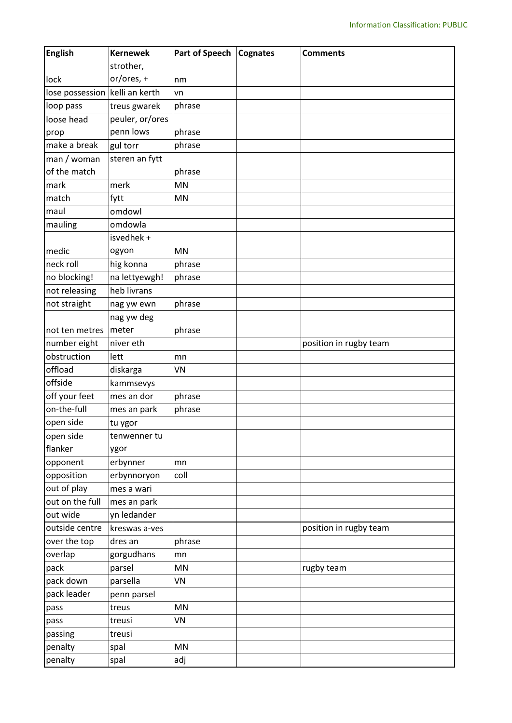| <b>English</b>                 | <b>Kernewek</b> | <b>Part of Speech</b>  | <b>Cognates</b> | <b>Comments</b>        |
|--------------------------------|-----------------|------------------------|-----------------|------------------------|
|                                | strother,       |                        |                 |                        |
| lock                           | or/ores, +      | nm                     |                 |                        |
| lose possession kelli an kerth |                 | vn                     |                 |                        |
| loop pass                      | treus gwarek    | phrase                 |                 |                        |
| loose head                     | peuler, or/ores |                        |                 |                        |
| prop                           | penn lows       | phrase                 |                 |                        |
| make a break                   | gul torr        | phrase                 |                 |                        |
| man / woman                    | steren an fytt  |                        |                 |                        |
| of the match                   |                 | phrase                 |                 |                        |
| mark                           | merk            | MN                     |                 |                        |
| match                          | fytt            | MN                     |                 |                        |
| maul                           | omdowl          |                        |                 |                        |
| mauling                        | omdowla         |                        |                 |                        |
|                                | isvedhek +      |                        |                 |                        |
| medic                          | ogyon           | <b>MN</b>              |                 |                        |
| neck roll                      | hig konna       | phrase                 |                 |                        |
| no blocking!                   | na lettyewgh!   | phrase                 |                 |                        |
| not releasing                  | heb livrans     |                        |                 |                        |
| not straight                   | nag yw ewn      | phrase                 |                 |                        |
|                                | nag yw deg      |                        |                 |                        |
| not ten metres                 | meter           | phrase                 |                 |                        |
| number eight                   | niver eth       |                        |                 | position in rugby team |
| obstruction                    | lett            | mn                     |                 |                        |
| offload                        | diskarga        | VN                     |                 |                        |
| offside                        | kammsevys       |                        |                 |                        |
| off your feet                  | mes an dor      | phrase                 |                 |                        |
| on-the-full                    | mes an park     | phrase                 |                 |                        |
| open side                      | tu ygor         |                        |                 |                        |
| open side                      | tenwenner tu    |                        |                 |                        |
| flanker                        | ygor            |                        |                 |                        |
| opponent                       | erbynner        | mn                     |                 |                        |
| opposition                     | erbynnoryon     | coll                   |                 |                        |
| out of play                    | mes a wari      |                        |                 |                        |
| out on the full                | mes an park     |                        |                 |                        |
| out wide                       | yn ledander     |                        |                 |                        |
| outside centre                 | kreswas a-ves   |                        |                 | position in rugby team |
| over the top                   | dres an         | phrase                 |                 |                        |
| overlap                        | gorgudhans      | mn                     |                 |                        |
| pack                           | parsel          | MN                     |                 | rugby team             |
| pack down                      | parsella        | VN                     |                 |                        |
| pack leader                    | penn parsel     |                        |                 |                        |
| pass                           | treus           | $\mathsf{M}\mathsf{N}$ |                 |                        |
| pass                           | treusi          | VN                     |                 |                        |
| passing                        | treusi          |                        |                 |                        |
| penalty                        | spal            | MN                     |                 |                        |
| penalty                        | spal            | adj                    |                 |                        |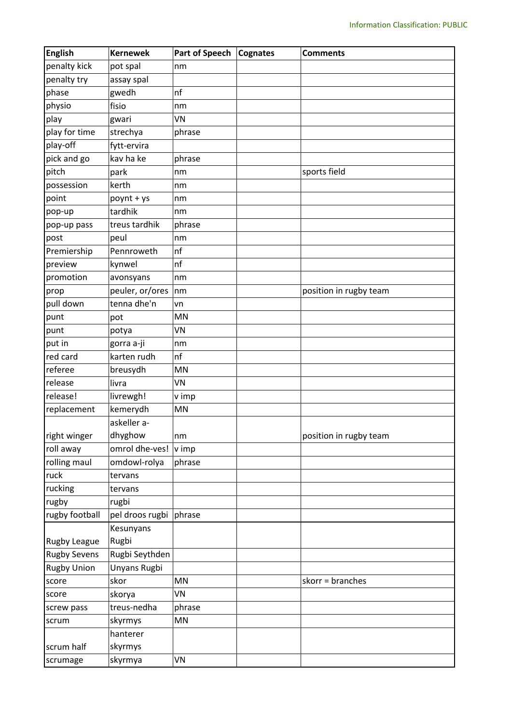| <b>English</b>      | <b>Kernewek</b>        | <b>Part of Speech</b> | Cognates | <b>Comments</b>        |
|---------------------|------------------------|-----------------------|----------|------------------------|
| penalty kick        | pot spal               | nm                    |          |                        |
| penalty try         | assay spal             |                       |          |                        |
| phase               | gwedh                  | nf                    |          |                        |
| physio              | fisio                  | nm                    |          |                        |
| play                | gwari                  | VN                    |          |                        |
| play for time       | strechya               | phrase                |          |                        |
| play-off            | fytt-ervira            |                       |          |                        |
| pick and go         | kav ha ke              | phrase                |          |                        |
| pitch               | park                   | nm                    |          | sports field           |
| possession          | kerth                  | nm                    |          |                        |
| point               | poynt + ys             | nm                    |          |                        |
| pop-up              | tardhik                | nm                    |          |                        |
| pop-up pass         | treus tardhik          | phrase                |          |                        |
| post                | peul                   | nm                    |          |                        |
| Premiership         | Pennroweth             | nf                    |          |                        |
| preview             | kynwel                 | nf                    |          |                        |
| promotion           | avonsyans              | nm                    |          |                        |
| prop                | peuler, or/ores        | nm                    |          | position in rugby team |
| pull down           | tenna dhe'n            | vn                    |          |                        |
| punt                | pot                    | MN                    |          |                        |
| punt                | potya                  | VN                    |          |                        |
| put in              | gorra a-ji             | nm                    |          |                        |
| red card            | karten rudh            | nf                    |          |                        |
| referee             | breusydh               | MN                    |          |                        |
| release             | livra                  | VN                    |          |                        |
| release!            | livrewgh!              | v imp                 |          |                        |
| replacement         | kemerydh               | MN                    |          |                        |
|                     | askeller a-            |                       |          |                        |
| right winger        | dhyghow                | nm                    |          | position in rugby team |
| roll away           | omrol dhe-ves!         | v imp                 |          |                        |
| rolling maul        | omdowl-rolya           | phrase                |          |                        |
| ruck                | tervans                |                       |          |                        |
| rucking             | tervans                |                       |          |                        |
| rugby               | rugbi                  |                       |          |                        |
| rugby football      | pel droos rugbi phrase |                       |          |                        |
|                     | Kesunyans              |                       |          |                        |
| Rugby League        | Rugbi                  |                       |          |                        |
| <b>Rugby Sevens</b> | Rugbi Seythden         |                       |          |                        |
| <b>Rugby Union</b>  | Unyans Rugbi           |                       |          |                        |
| score               | skor                   | MN                    |          | skorr = branches       |
| score               | skorya                 | VN                    |          |                        |
| screw pass          | treus-nedha            | phrase                |          |                        |
| scrum               | skyrmys                | MN                    |          |                        |
|                     | hanterer               |                       |          |                        |
| scrum half          | skyrmys                |                       |          |                        |
| scrumage            | skyrmya                | VN                    |          |                        |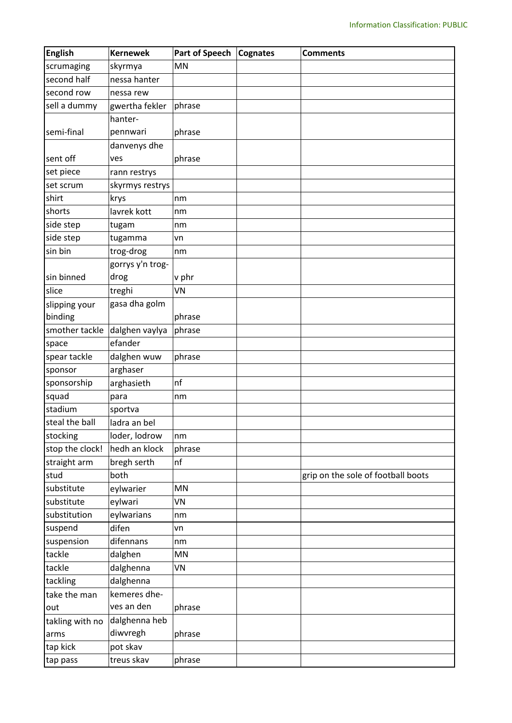| <b>English</b>  | <b>Kernewek</b>  | Part of Speech | <b>Cognates</b> | <b>Comments</b>                    |
|-----------------|------------------|----------------|-----------------|------------------------------------|
| scrumaging      | skyrmya          | MN             |                 |                                    |
| second half     | nessa hanter     |                |                 |                                    |
| second row      | nessa rew        |                |                 |                                    |
| sell a dummy    | gwertha fekler   | phrase         |                 |                                    |
|                 | hanter-          |                |                 |                                    |
| semi-final      | pennwari         | phrase         |                 |                                    |
|                 | danvenys dhe     |                |                 |                                    |
| sent off        | ves              | phrase         |                 |                                    |
| set piece       | rann restrys     |                |                 |                                    |
| set scrum       | skyrmys restrys  |                |                 |                                    |
| shirt           | krys             | nm             |                 |                                    |
| shorts          | lavrek kott      | nm             |                 |                                    |
| side step       | tugam            | nm             |                 |                                    |
| side step       | tugamma          | vn             |                 |                                    |
| sin bin         | trog-drog        | nm             |                 |                                    |
|                 | gorrys y'n trog- |                |                 |                                    |
| sin binned      | drog             | v phr          |                 |                                    |
| slice           | treghi           | VN             |                 |                                    |
| slipping your   | gasa dha golm    |                |                 |                                    |
| binding         |                  | phrase         |                 |                                    |
| smother tackle  | dalghen vaylya   | phrase         |                 |                                    |
| space           | efander          |                |                 |                                    |
| spear tackle    | dalghen wuw      | phrase         |                 |                                    |
| sponsor         | arghaser         |                |                 |                                    |
| sponsorship     | arghasieth       | nf             |                 |                                    |
| squad           | para             | nm             |                 |                                    |
| stadium         | sportva          |                |                 |                                    |
| steal the ball  | ladra an bel     |                |                 |                                    |
| stocking        | loder, lodrow    | nm             |                 |                                    |
| stop the clock! | hedh an klock    | phrase         |                 |                                    |
| straight arm    | bregh serth      | nf             |                 |                                    |
| stud            | both             |                |                 | grip on the sole of football boots |
| substitute      | eylwarier        | <b>MN</b>      |                 |                                    |
| substitute      | eylwari          | VN             |                 |                                    |
| substitution    | eylwarians       | nm             |                 |                                    |
| suspend         | difen            | vn             |                 |                                    |
| suspension      | difennans        | nm             |                 |                                    |
| tackle          | dalghen          | MN             |                 |                                    |
| tackle          | dalghenna        | VN             |                 |                                    |
| tackling        | dalghenna        |                |                 |                                    |
| take the man    | kemeres dhe-     |                |                 |                                    |
| out             | ves an den       | phrase         |                 |                                    |
| takling with no | dalghenna heb    |                |                 |                                    |
| arms            | diwvregh         | phrase         |                 |                                    |
| tap kick        | pot skav         |                |                 |                                    |
| tap pass        | treus skav       | phrase         |                 |                                    |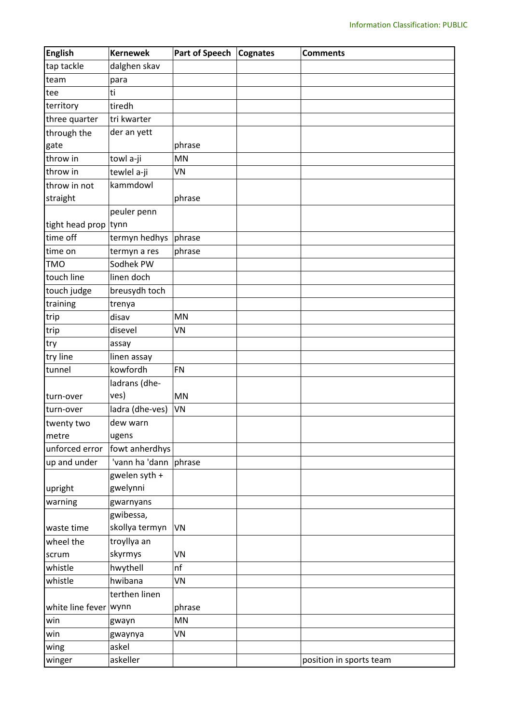| <b>English</b>        | <b>Kernewek</b>       | <b>Part of Speech</b> | Cognates | <b>Comments</b>         |
|-----------------------|-----------------------|-----------------------|----------|-------------------------|
| tap tackle            | dalghen skav          |                       |          |                         |
| team                  | para                  |                       |          |                         |
| tee                   | ti                    |                       |          |                         |
| territory             | tiredh                |                       |          |                         |
| three quarter         | tri kwarter           |                       |          |                         |
| through the           | der an yett           |                       |          |                         |
| gate                  |                       | phrase                |          |                         |
| throw in              | towl a-ji             | <b>MN</b>             |          |                         |
| throw in              | tewlel a-ji           | VN                    |          |                         |
| throw in not          | kammdowl              |                       |          |                         |
| straight              |                       | phrase                |          |                         |
|                       | peuler penn           |                       |          |                         |
| tight head prop tynn  |                       |                       |          |                         |
| time off              | termyn hedhys phrase  |                       |          |                         |
| time on               | termyn a res          | phrase                |          |                         |
| <b>TMO</b>            | Sodhek PW             |                       |          |                         |
| touch line            | linen doch            |                       |          |                         |
| touch judge           | breusydh toch         |                       |          |                         |
| training              | trenya                |                       |          |                         |
| trip                  | disav                 | MN                    |          |                         |
| trip                  | disevel               | VN                    |          |                         |
| try                   | assay                 |                       |          |                         |
| try line              | linen assay           |                       |          |                         |
| tunnel                | kowfordh              | FN                    |          |                         |
|                       | ladrans (dhe-         |                       |          |                         |
| turn-over             | ves)                  | <b>MN</b>             |          |                         |
| turn-over             | ladra (dhe-ves)       | <b>VN</b>             |          |                         |
| twenty two            | dew warn              |                       |          |                         |
| metre                 | ugens                 |                       |          |                         |
| unforced error        | fowt anherdhys        |                       |          |                         |
| up and under          | 'vann ha 'dann phrase |                       |          |                         |
|                       | gwelen syth +         |                       |          |                         |
| upright               | gwelynni              |                       |          |                         |
| warning               | gwarnyans             |                       |          |                         |
|                       | gwibessa,             |                       |          |                         |
| waste time            | skollya termyn        | <b>VN</b>             |          |                         |
| wheel the             | troyllya an           |                       |          |                         |
| scrum                 | skyrmys               | VN                    |          |                         |
| whistle               | hwythell              | nf                    |          |                         |
| whistle               | hwibana               | VN                    |          |                         |
|                       | terthen linen         |                       |          |                         |
| white line fever wynn |                       | phrase                |          |                         |
| win                   | gwayn                 | MN                    |          |                         |
| win                   | gwaynya               | VN                    |          |                         |
| wing                  | askel                 |                       |          |                         |
| winger                | askeller              |                       |          | position in sports team |